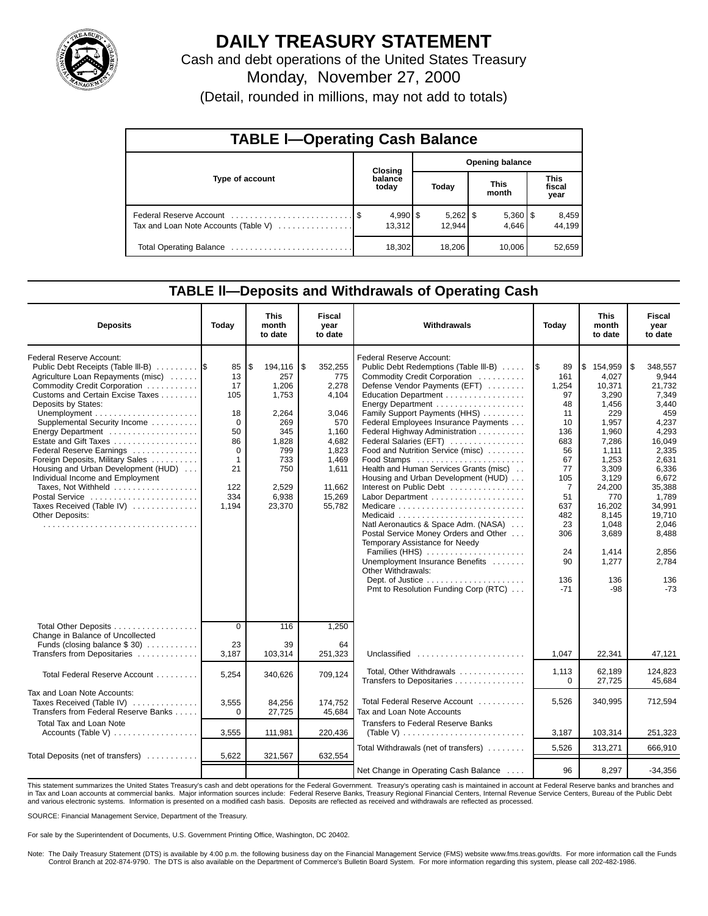

# **DAILY TREASURY STATEMENT**

Cash and debt operations of the United States Treasury Monday, November 27, 2000 (Detail, rounded in millions, may not add to totals)

| <b>TABLE I-Operating Cash Balance</b> |         |                        |                        |                      |  |                       |  |                               |  |
|---------------------------------------|---------|------------------------|------------------------|----------------------|--|-----------------------|--|-------------------------------|--|
|                                       | Closing |                        | <b>Opening balance</b> |                      |  |                       |  |                               |  |
| Type of account                       |         | balance<br>today       |                        | Today                |  | <b>This</b><br>month  |  | <b>This</b><br>fiscal<br>year |  |
| Tax and Loan Note Accounts (Table V)  |         | $4,990$ \ \$<br>13.312 |                        | $5,262$ \$<br>12.944 |  | $5,360$   \$<br>4.646 |  | 8,459<br>44.199               |  |
|                                       |         | 18,302                 |                        | 18,206               |  | 10,006                |  | 52,659                        |  |

### **TABLE ll—Deposits and Withdrawals of Operating Cash**

| <b>Deposits</b>                                                                                                                                                                                                                                                                                                                                                                                                                                                                                                          | Today                                                                                                        | This<br>month<br>to date                                                                                                | <b>Fiscal</b><br>year<br>to date                                                                                                   | Withdrawals                                                                                                                                                                                                                                                                                                                                                                                                                                                                                                                                                                                                                                                                                                                                                                                                                                                 | Today                                                                                                                                                      | This<br>month<br>to date                                                                                                                                                                                       | Fiscal<br>year<br>to date                                                                                                                                                                                      |
|--------------------------------------------------------------------------------------------------------------------------------------------------------------------------------------------------------------------------------------------------------------------------------------------------------------------------------------------------------------------------------------------------------------------------------------------------------------------------------------------------------------------------|--------------------------------------------------------------------------------------------------------------|-------------------------------------------------------------------------------------------------------------------------|------------------------------------------------------------------------------------------------------------------------------------|-------------------------------------------------------------------------------------------------------------------------------------------------------------------------------------------------------------------------------------------------------------------------------------------------------------------------------------------------------------------------------------------------------------------------------------------------------------------------------------------------------------------------------------------------------------------------------------------------------------------------------------------------------------------------------------------------------------------------------------------------------------------------------------------------------------------------------------------------------------|------------------------------------------------------------------------------------------------------------------------------------------------------------|----------------------------------------------------------------------------------------------------------------------------------------------------------------------------------------------------------------|----------------------------------------------------------------------------------------------------------------------------------------------------------------------------------------------------------------|
| Federal Reserve Account:<br>Public Debt Receipts (Table III-B)<br>Agriculture Loan Repayments (misc)<br>Commodity Credit Corporation<br>Customs and Certain Excise Taxes<br>Deposits by States:<br>Supplemental Security Income<br>Energy Department<br>Estate and Gift Taxes<br>Federal Reserve Earnings<br>Foreign Deposits, Military Sales<br>Housing and Urban Development (HUD)<br>Individual Income and Employment<br>Taxes, Not Withheld<br>Postal Service<br>Taxes Received (Table IV)<br><b>Other Deposits:</b> | 85<br>13<br>17<br>105<br>18<br>$\Omega$<br>50<br>86<br>$\Omega$<br>$\mathbf{1}$<br>21<br>122<br>334<br>1.194 | \$<br>194,116<br>257<br>1,206<br>1.753<br>2,264<br>269<br>345<br>1,828<br>799<br>733<br>750<br>2,529<br>6,938<br>23,370 | Ι\$<br>352,255<br>775<br>2,278<br>4.104<br>3.046<br>570<br>1,160<br>4,682<br>1.823<br>1.469<br>1,611<br>11.662<br>15,269<br>55.782 | Federal Reserve Account:<br>Public Debt Redemptions (Table III-B)<br>Commodity Credit Corporation<br>Defense Vendor Payments (EFT)<br>Education Department<br>Energy Department<br>Family Support Payments (HHS)<br>Federal Employees Insurance Payments<br>Federal Highway Administration<br>Federal Salaries (EFT)<br>Food and Nutrition Service (misc)<br>Food Stamps<br>Health and Human Services Grants (misc)<br>Housing and Urban Development (HUD)<br>Interest on Public Debt<br>Medicare $\ldots \ldots \ldots \ldots \ldots \ldots \ldots \ldots$<br>Natl Aeronautics & Space Adm. (NASA)<br>Postal Service Money Orders and Other<br>Temporary Assistance for Needy<br>Families (HHS)<br>Unemployment Insurance Benefits<br>Other Withdrawals:<br>Dept. of Justice $\dots \dots \dots \dots \dots \dots$<br>Pmt to Resolution Funding Corp (RTC) | 89<br>1\$<br>161<br>1,254<br>97<br>48<br>11<br>10<br>136<br>683<br>56<br>67<br>77<br>105<br>7<br>51<br>637<br>482<br>23<br>306<br>24<br>90<br>136<br>$-71$ | \$<br>154,959<br>4.027<br>10,371<br>3.290<br>1.456<br>229<br>1,957<br>1,960<br>7,286<br>1,111<br>1,253<br>3.309<br>3.129<br>24,200<br>770<br>16.202<br>8,145<br>1,048<br>3,689<br>1,414<br>1,277<br>136<br>-98 | 348,557<br>9,944<br>21,732<br>7,349<br>3,440<br>459<br>4,237<br>4,293<br>16,049<br>2,335<br>2.631<br>6.336<br>6.672<br>35,388<br>1.789<br>34.991<br>19,710<br>2,046<br>8,488<br>2,856<br>2,784<br>136<br>$-73$ |
| Total Other Deposits<br>Change in Balance of Uncollected<br>Funds (closing balance $$30$ )<br>Transfers from Depositaries                                                                                                                                                                                                                                                                                                                                                                                                | $\overline{0}$<br>23<br>3,187                                                                                | 116<br>39<br>103,314                                                                                                    | 1,250<br>64<br>251,323                                                                                                             | Unclassified                                                                                                                                                                                                                                                                                                                                                                                                                                                                                                                                                                                                                                                                                                                                                                                                                                                | 1,047                                                                                                                                                      | 22,341                                                                                                                                                                                                         | 47,121                                                                                                                                                                                                         |
| Total Federal Reserve Account                                                                                                                                                                                                                                                                                                                                                                                                                                                                                            | 5,254                                                                                                        | 340,626                                                                                                                 | 709,124                                                                                                                            | Total, Other Withdrawals<br>Transfers to Depositaries                                                                                                                                                                                                                                                                                                                                                                                                                                                                                                                                                                                                                                                                                                                                                                                                       | 1,113<br>0                                                                                                                                                 | 62.189<br>27.725                                                                                                                                                                                               | 124.823<br>45.684                                                                                                                                                                                              |
| Tax and Loan Note Accounts:<br>Taxes Received (Table IV)<br>Transfers from Federal Reserve Banks                                                                                                                                                                                                                                                                                                                                                                                                                         | 3,555<br>$\Omega$                                                                                            | 84,256<br>27,725                                                                                                        | 174,752<br>45,684                                                                                                                  | Total Federal Reserve Account<br>Tax and Loan Note Accounts                                                                                                                                                                                                                                                                                                                                                                                                                                                                                                                                                                                                                                                                                                                                                                                                 | 5,526                                                                                                                                                      | 340,995                                                                                                                                                                                                        | 712,594                                                                                                                                                                                                        |
| <b>Total Tax and Loan Note</b><br>Accounts (Table V) $\dots \dots \dots \dots \dots$                                                                                                                                                                                                                                                                                                                                                                                                                                     | 3,555                                                                                                        | 111,981                                                                                                                 | 220,436                                                                                                                            | <b>Transfers to Federal Reserve Banks</b><br>(Table V) $\ldots \ldots \ldots \ldots \ldots \ldots \ldots \ldots$                                                                                                                                                                                                                                                                                                                                                                                                                                                                                                                                                                                                                                                                                                                                            | 3,187                                                                                                                                                      | 103,314                                                                                                                                                                                                        | 251,323                                                                                                                                                                                                        |
| Total Deposits (net of transfers)                                                                                                                                                                                                                                                                                                                                                                                                                                                                                        | 5,622                                                                                                        | 321,567                                                                                                                 | 632,554                                                                                                                            | Total Withdrawals (net of transfers)                                                                                                                                                                                                                                                                                                                                                                                                                                                                                                                                                                                                                                                                                                                                                                                                                        | 5,526                                                                                                                                                      | 313,271                                                                                                                                                                                                        | 666.910                                                                                                                                                                                                        |
|                                                                                                                                                                                                                                                                                                                                                                                                                                                                                                                          |                                                                                                              |                                                                                                                         |                                                                                                                                    | Net Change in Operating Cash Balance                                                                                                                                                                                                                                                                                                                                                                                                                                                                                                                                                                                                                                                                                                                                                                                                                        | 96                                                                                                                                                         | 8,297                                                                                                                                                                                                          | $-34,356$                                                                                                                                                                                                      |

This statement summarizes the United States Treasury's cash and debt operations for the Federal Government. Treasury's operating cash is maintained in account at Federal Reserve banks and branches and in Tax and Loan accounts at commercial banks. Major information sources include: Federal Reserve Banks, Treasury Regional Financial Centers, Internal Revenue Service Centers, Bureau of the Public Debt in Tax and Loan accou and various electronic systems. Information is presented on a modified cash basis. Deposits are reflected as received and withdrawals are reflected as processed.

SOURCE: Financial Management Service, Department of the Treasury.

For sale by the Superintendent of Documents, U.S. Government Printing Office, Washington, DC 20402.

Note: The Daily Treasury Statement (DTS) is available by 4:00 p.m. the following business day on the Financial Management Service (FMS) website www.fms.treas.gov/dts. For more information call the Funds Control Branch at 202-874-9790. The DTS is also available on the Department of Commerce's Bulletin Board System. For more information regarding this system, please call 202-482-1986.